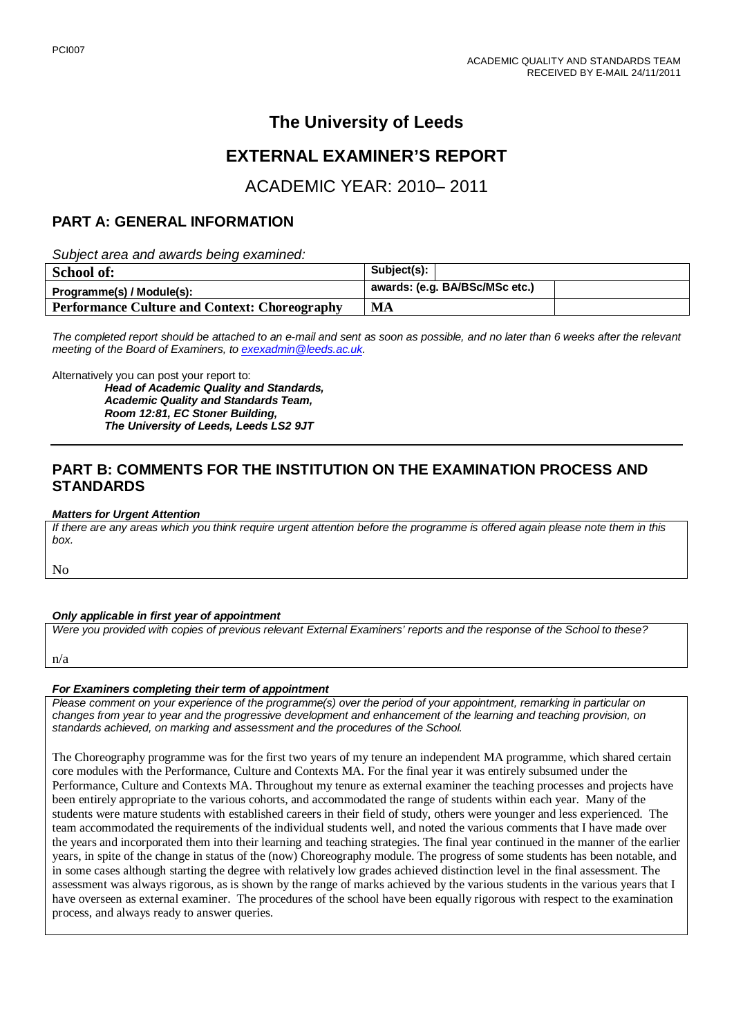# **The University of Leeds**

## **EXTERNAL EXAMINER'S REPORT**

## ACADEMIC YEAR: 2010– 2011

### **PART A: GENERAL INFORMATION**

*Subject area and awards being examined:*

| School of:                                           | Subject(s):                    |
|------------------------------------------------------|--------------------------------|
| Programme(s) / Module(s):                            | awards: (e.g. BA/BSc/MSc etc.) |
| <b>Performance Culture and Context: Choreography</b> | MA                             |

*The completed report should be attached to an e-mail and sent as soon as possible, and no later than 6 weeks after the relevant meeting of the Board of Examiners, to [exexadmin@leeds.ac.uk.](mailto:exexadmin@leeds.ac.uk)*

Alternatively you can post your report to:

*Head of Academic Quality and Standards, Academic Quality and Standards Team, Room 12:81, EC Stoner Building, The University of Leeds, Leeds LS2 9JT*

## **PART B: COMMENTS FOR THE INSTITUTION ON THE EXAMINATION PROCESS AND STANDARDS**

#### *Matters for Urgent Attention*

*If there are any areas which you think require urgent attention before the programme is offered again please note them in this box.*

No

#### *Only applicable in first year of appointment*

*Were you provided with copies of previous relevant External Examiners' reports and the response of the School to these?* 

n/a

#### *For Examiners completing their term of appointment*

*Please comment on your experience of the programme(s) over the period of your appointment, remarking in particular on changes from year to year and the progressive development and enhancement of the learning and teaching provision, on standards achieved, on marking and assessment and the procedures of the School.* 

The Choreography programme was for the first two years of my tenure an independent MA programme, which shared certain core modules with the Performance, Culture and Contexts MA. For the final year it was entirely subsumed under the Performance, Culture and Contexts MA. Throughout my tenure as external examiner the teaching processes and projects have been entirely appropriate to the various cohorts, and accommodated the range of students within each year. Many of the students were mature students with established careers in their field of study, others were younger and less experienced. The team accommodated the requirements of the individual students well, and noted the various comments that I have made over the years and incorporated them into their learning and teaching strategies. The final year continued in the manner of the earlier years, in spite of the change in status of the (now) Choreography module. The progress of some students has been notable, and in some cases although starting the degree with relatively low grades achieved distinction level in the final assessment. The assessment was always rigorous, as is shown by the range of marks achieved by the various students in the various years that I have overseen as external examiner. The procedures of the school have been equally rigorous with respect to the examination process, and always ready to answer queries.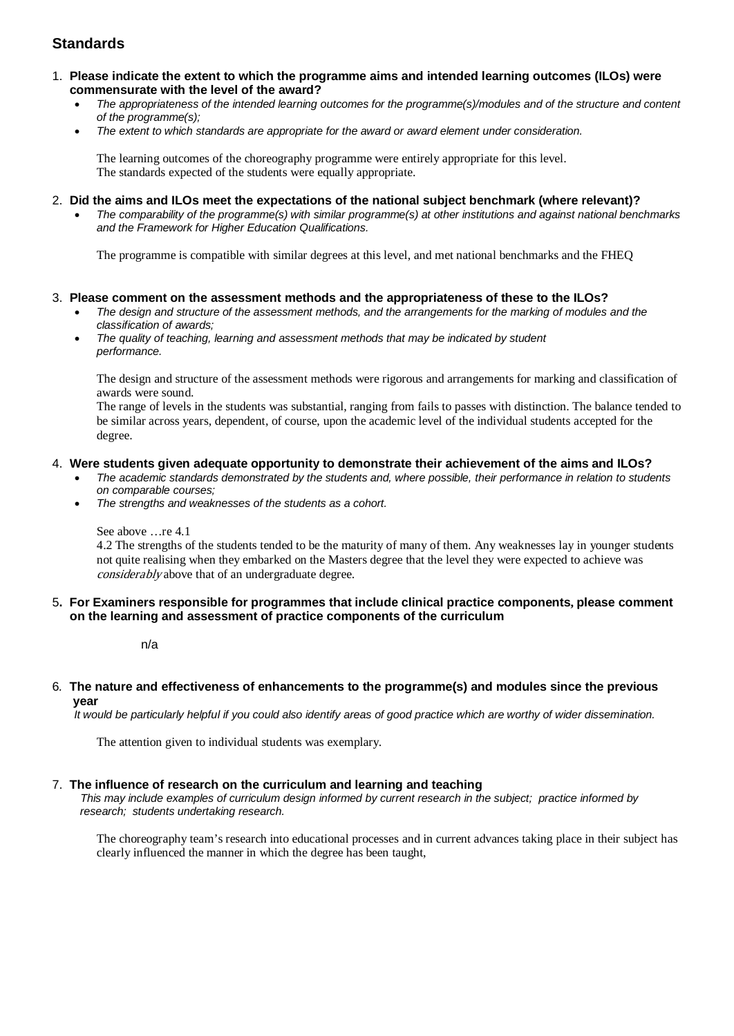## **Standards**

- 1. **Please indicate the extent to which the programme aims and intended learning outcomes (ILOs) were commensurate with the level of the award?**
	- *The appropriateness of the intended learning outcomes for the programme(s)/modules and of the structure and content of the programme(s);*
	- *The extent to which standards are appropriate for the award or award element under consideration.*

The learning outcomes of the choreography programme were entirely appropriate for this level. The standards expected of the students were equally appropriate.

- 2. **Did the aims and ILOs meet the expectations of the national subject benchmark (where relevant)?**
	- *The comparability of the programme(s) with similar programme(s) at other institutions and against national benchmarks and the Framework for Higher Education Qualifications.*

The programme is compatible with similar degrees at this level, and met national benchmarks and the FHEQ

#### 3. **Please comment on the assessment methods and the appropriateness of these to the ILOs?**

- *The design and structure of the assessment methods, and the arrangements for the marking of modules and the classification of awards;*
- *The quality of teaching, learning and assessment methods that may be indicated by student performance.*

The design and structure of the assessment methods were rigorous and arrangements for marking and classification of awards were sound.

The range of levels in the students was substantial, ranging from fails to passes with distinction. The balance tended to be similar across years, dependent, of course, upon the academic level of the individual students accepted for the degree.

#### 4. **Were students given adequate opportunity to demonstrate their achievement of the aims and ILOs?**

- *The academic standards demonstrated by the students and, where possible, their performance in relation to students on comparable courses;*
- *The strengths and weaknesses of the students as a cohort.*

See above …re 4.1

4.2 The strengths of the students tended to be the maturity of many of them. Any weaknesses lay in younger students not quite realising when they embarked on the Masters degree that the level they were expected to achieve was considerably above that of an undergraduate degree.

5**. For Examiners responsible for programmes that include clinical practice components, please comment on the learning and assessment of practice components of the curriculum**

n/a

6*.* **The nature and effectiveness of enhancements to the programme(s) and modules since the previous year**

 *It would be particularly helpful if you could also identify areas of good practice which are worthy of wider dissemination.* 

The attention given to individual students was exemplary.

#### 7.**The influence of research on the curriculum and learning and teaching**

 *This may include examples of curriculum design informed by current research in the subject; practice informed by research; students undertaking research.* 

The choreography team's research into educational processes and in current advances taking place in their subject has clearly influenced the manner in which the degree has been taught,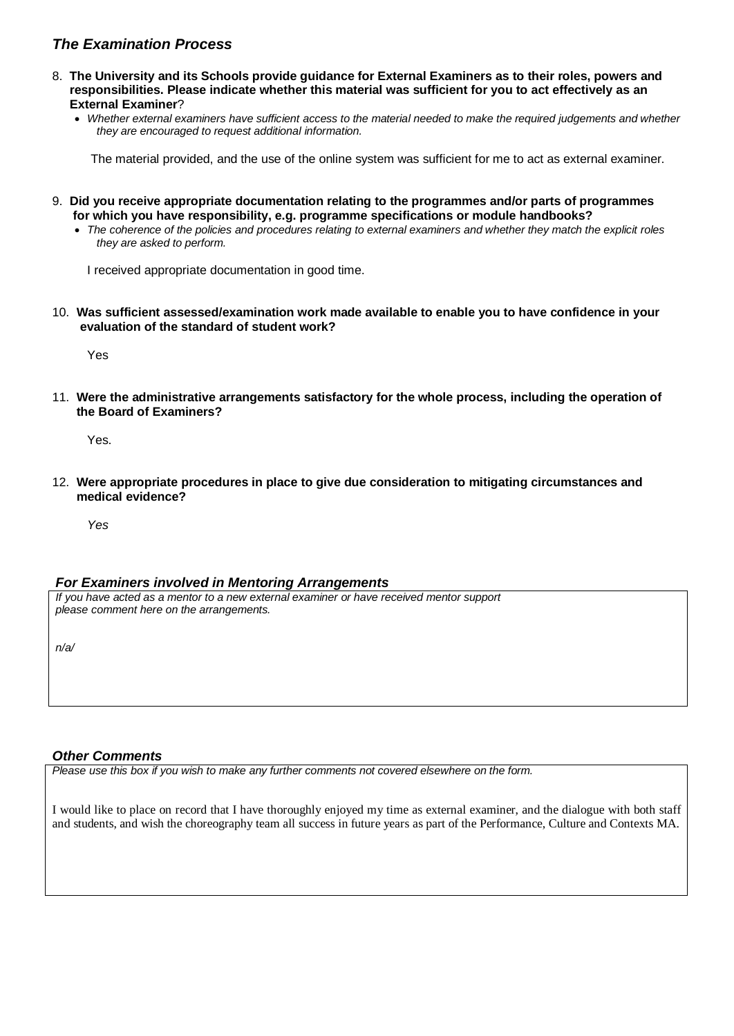## *The Examination Process*

- 8. **The University and its Schools provide guidance for External Examiners as to their roles, powers and responsibilities. Please indicate whether this material was sufficient for you to act effectively as an External Examiner**?
	- *Whether external examiners have sufficient access to the material needed to make the required judgements and whether they are encouraged to request additional information.*

The material provided, and the use of the online system was sufficient for me to act as external examiner.

- 9. **Did you receive appropriate documentation relating to the programmes and/or parts of programmes for which you have responsibility, e.g. programme specifications or module handbooks?**
	- *The coherence of the policies and procedures relating to external examiners and whether they match the explicit roles they are asked to perform.*

I received appropriate documentation in good time.

10. **Was sufficient assessed/examination work made available to enable you to have confidence in your evaluation of the standard of student work?**

Yes

11. **Were the administrative arrangements satisfactory for the whole process, including the operation of the Board of Examiners?**

Yes.

12. **Were appropriate procedures in place to give due consideration to mitigating circumstances and medical evidence?**

*Yes* 

#### *For Examiners involved in Mentoring Arrangements*

*If you have acted as a mentor to a new external examiner or have received mentor support please comment here on the arrangements.*

*n/a/*

#### *Other Comments*

*Please use this box if you wish to make any further comments not covered elsewhere on the form.*

I would like to place on record that I have thoroughly enjoyed my time as external examiner, and the dialogue with both staff and students, and wish the choreography team all success in future years as part of the Performance, Culture and Contexts MA.